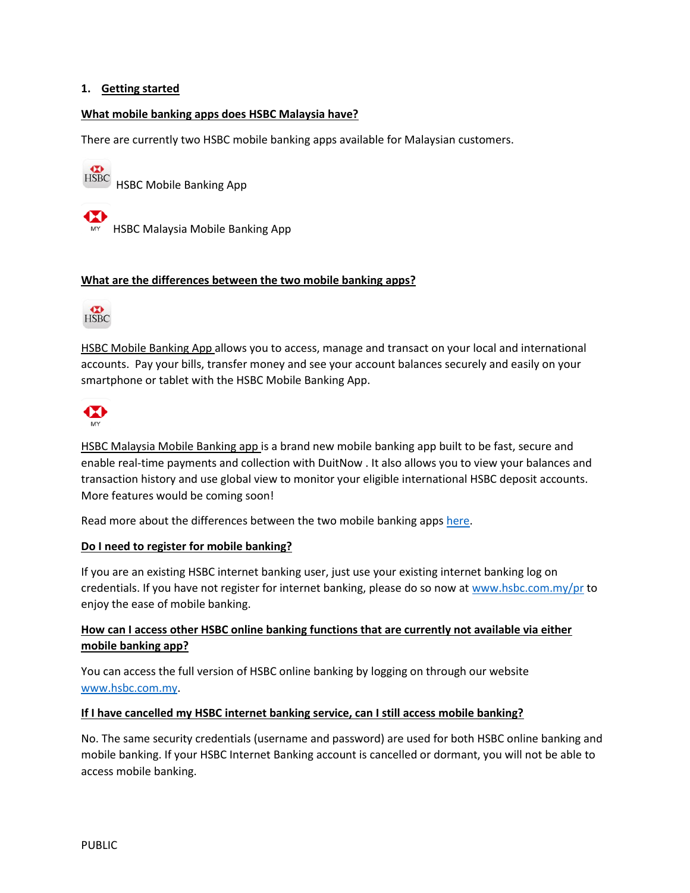### **1. Getting started**

#### **What mobile banking apps does HSBC Malaysia have?**

There are currently two HSBC mobile banking apps available for Malaysian customers.

HSBC Mobile Banking App

MY HSBC Malaysia Mobile Banking App

#### **What are the differences between the two mobile banking apps?**



HSBC Mobile Banking App allows you to access, manage and transact on your local and international accounts. Pay your bills, transfer money and see your account balances securely and easily on your smartphone or tablet with the HSBC Mobile Banking App.



HSBC Malaysia Mobile Banking app is a brand new mobile banking app built to be fast, secure and enable real-time payments and collection with DuitNow . It also allows you to view your balances and transaction history and use global view to monitor your eligible international HSBC deposit accounts. More features would be coming soon!

Read more about the differences between the two mobile banking apps [here.](https://www.hsbc.com.my/ways-to-bank/mobile-banking/)

#### **Do I need to register for mobile banking?**

If you are an existing HSBC internet banking user, just use your existing internet banking log on credentials. If you have not register for internet banking, please do so now at [www.hsbc.com.my/pr](http://www.hsbc.com.my/pr) to enjoy the ease of mobile banking.

# **How can I access other HSBC online banking functions that are currently not available via either mobile banking app?**

You can access the full version of HSBC online banking by logging on through our website [www.hsbc.com.my.](http://www.hsbc.com.my/)

#### **If I have cancelled my HSBC internet banking service, can I still access mobile banking?**

No. The same security credentials (username and password) are used for both HSBC online banking and mobile banking. If your HSBC Internet Banking account is cancelled or dormant, you will not be able to access mobile banking.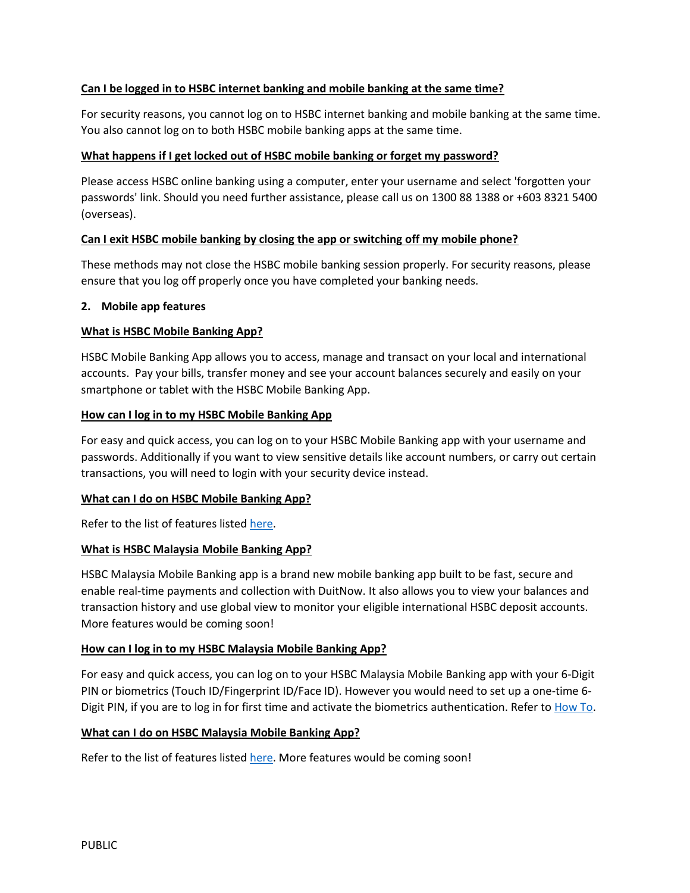## **Can I be logged in to HSBC internet banking and mobile banking at the same time?**

For security reasons, you cannot log on to HSBC internet banking and mobile banking at the same time. You also cannot log on to both HSBC mobile banking apps at the same time.

## **What happens if I get locked out of HSBC mobile banking or forget my password?**

Please access HSBC online banking using a computer, enter your username and select 'forgotten your passwords' link. Should you need further assistance, please call us on 1300 88 1388 or +603 8321 5400 (overseas).

# **Can I exit HSBC mobile banking by closing the app or switching off my mobile phone?**

These methods may not close the HSBC mobile banking session properly. For security reasons, please ensure that you log off properly once you have completed your banking needs.

### **2. Mobile app features**

### **What is HSBC Mobile Banking App?**

HSBC Mobile Banking App allows you to access, manage and transact on your local and international accounts. Pay your bills, transfer money and see your account balances securely and easily on your smartphone or tablet with the HSBC Mobile Banking App.

### **How can I log in to my HSBC Mobile Banking App**

For easy and quick access, you can log on to your HSBC Mobile Banking app with your username and passwords. Additionally if you want to view sensitive details like account numbers, or carry out certain transactions, you will need to login with your security device instead.

### **What can I do on HSBC Mobile Banking App?**

Refer to the list of features liste[d here.](https://www.hsbc.com.my/ways-to-bank/mobile-banking/)

### **What is HSBC Malaysia Mobile Banking App?**

HSBC Malaysia Mobile Banking app is a brand new mobile banking app built to be fast, secure and enable real-time payments and collection with DuitNow. It also allows you to view your balances and transaction history and use global view to monitor your eligible international HSBC deposit accounts. More features would be coming soon!

### **How can I log in to my HSBC Malaysia Mobile Banking App?**

For easy and quick access, you can log on to your HSBC Malaysia Mobile Banking app with your 6-Digit PIN or biometrics (Touch ID/Fingerprint ID/Face ID). However you would need to set up a one-time 6- Digit PIN, if you are to log in for first time and activate the biometrics authentication. Refer to [How To.](http://www.hsbc.com.my/ways-to-bank/mobile-banking/biometrics-authentication/#howtosetup)

### **What can I do on HSBC Malaysia Mobile Banking App?**

Refer to the list of features liste[d here.](https://www.hsbc.com.my/ways-to-bank/mobile-banking/) More features would be coming soon!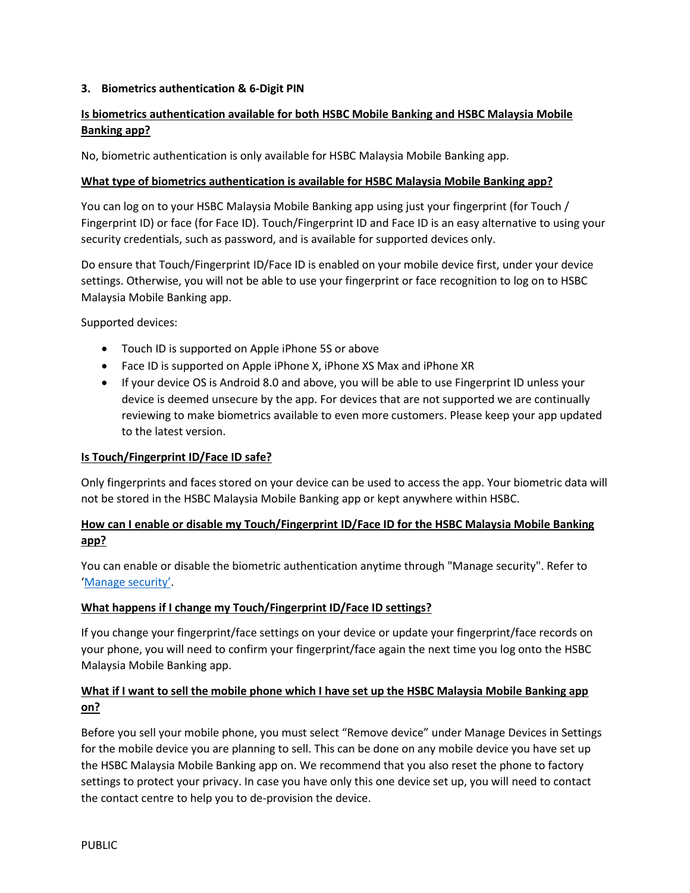# **3. Biometrics authentication & 6-Digit PIN**

# **Is biometrics authentication available for both HSBC Mobile Banking and HSBC Malaysia Mobile Banking app?**

No, biometric authentication is only available for HSBC Malaysia Mobile Banking app.

## **What type of biometrics authentication is available for HSBC Malaysia Mobile Banking app?**

You can log on to your HSBC Malaysia Mobile Banking app using just your fingerprint (for Touch / Fingerprint ID) or face (for Face ID). Touch/Fingerprint ID and Face ID is an easy alternative to using your security credentials, such as password, and is available for supported devices only.

Do ensure that Touch/Fingerprint ID/Face ID is enabled on your mobile device first, under your device settings. Otherwise, you will not be able to use your fingerprint or face recognition to log on to HSBC Malaysia Mobile Banking app.

Supported devices:

- Touch ID is supported on Apple iPhone 5S or above
- Face ID is supported on Apple iPhone X, iPhone XS Max and iPhone XR
- If your device OS is Android 8.0 and above, you will be able to use Fingerprint ID unless your device is deemed unsecure by the app. For devices that are not supported we are continually reviewing to make biometrics available to even more customers. Please keep your app updated to the latest version.

### **Is Touch/Fingerprint ID/Face ID safe?**

Only fingerprints and faces stored on your device can be used to access the app. Your biometric data will not be stored in the HSBC Malaysia Mobile Banking app or kept anywhere within HSBC.

# **How can I enable or disable my Touch/Fingerprint ID/Face ID for the HSBC Malaysia Mobile Banking app?**

You can enable or disable the biometric authentication anytime through "Manage security". Refer to '[Manage security](http://www.hsbc.com.my/ways-to-bank/mobile-banking/biometrics-authentication/#managedevices)'.

### **What happens if I change my Touch/Fingerprint ID/Face ID settings?**

If you change your fingerprint/face settings on your device or update your fingerprint/face records on your phone, you will need to confirm your fingerprint/face again the next time you log onto the HSBC Malaysia Mobile Banking app.

# **What if I want to sell the mobile phone which I have set up the HSBC Malaysia Mobile Banking app on?**

Before you sell your mobile phone, you must select "Remove device" under Manage Devices in Settings for the mobile device you are planning to sell. This can be done on any mobile device you have set up the HSBC Malaysia Mobile Banking app on. We recommend that you also reset the phone to factory settings to protect your privacy. In case you have only this one device set up, you will need to contact the contact centre to help you to de-provision the device.